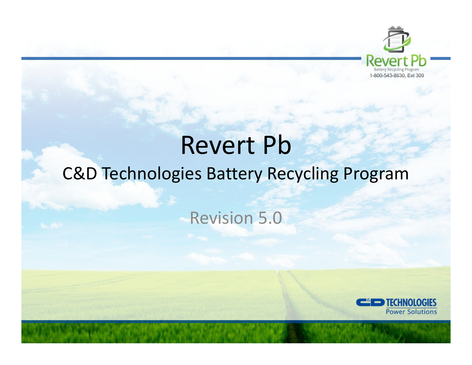

# Revert Pb

# C&D Technologies Battery Recycling Program

## Revision 5.0

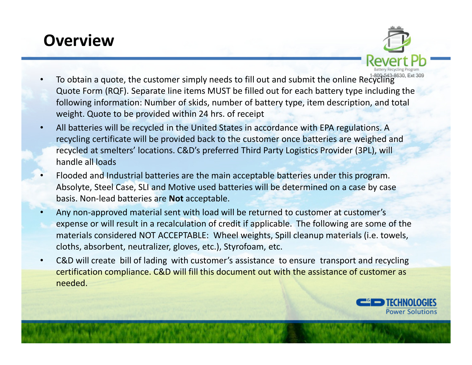## **Overview**

- •To obtain a quote, the customer simply needs to fill out and submit the online Recycling Quote Form (RQF). Separate line items MUST be filled out for each battery type including the following information: Number of skids, number of battery type, item description, and total weight. Quote to be provided within 24 hrs. of receipt
- • All batteries will be recycled in the United States in accordance with EPA regulations. A recycling certificate will be provided back to the customer once batteries are weighed and recycled at smelters' locations. C&D's preferred Third Party Logistics Provider (3PL), will handle all loads
- • Flooded and Industrial batteries are the main acceptable batteries under this program. Absolyte, Steel Case, SLI and Motive used batteries will be determined on a case by case basis. Non-lead batteries are **Not** acceptable.
- • Any non-approved material sent with load will be returned to customer at customer's expense or will result in a recalculation of credit if applicable. The following are some of the materials considered NOT ACCEPTABLE: Wheel weights, Spill cleanup materials (i.e. towels, cloths, absorbent, neutralizer, gloves, etc.), Styrofoam, etc.
- • C&D will create bill of lading with customer's assistance to ensure transport and recycling certification compliance. C&D will fill this document out with the assistance of customer as needed.

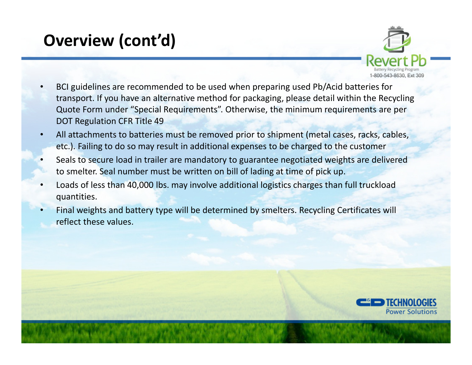# **Overview (cont'd)**



- • BCI guidelines are recommended to be used when preparing used Pb/Acid batteries for transport. If you have an alternative method for packaging, please detail within the Recycling Quote Form under "Special Requirements". Otherwise, the minimum requirements are per DOT Regulation CFR Title 49
- • All attachments to batteries must be removed prior to shipment (metal cases, racks, cables, etc.). Failing to do so may result in additional expenses to be charged to the customer
- • Seals to secure load in trailer are mandatory to guarantee negotiated weights are delivered to smelter. Seal number must be written on bill of lading at time of pick up.
- • Loads of less than 40,000 lbs. may involve additional logistics charges than full truckload quantities.
- • Final weights and battery type will be determined by smelters. Recycling Certificates will reflect these values.

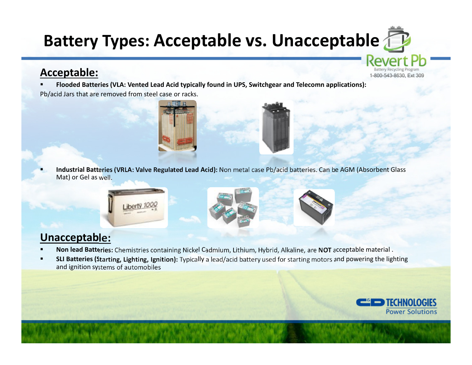# **Battery Types: Acceptable vs. Unacceptable**

#### **Acceptable:**

٠

- **Flooded Batteries (VLA: Vented Lead Acid typically found in UPS, Switchgear and Telecomn applications):**
- Pb/acid Jars that are removed from steel case or racks.



 **Industrial Batteries (VRLA: Valve Regulated Lead Acid):** Non metal case Pb/acid batteries. Can be AGM (Absorbent Glass Mat) or Gel as well.



### **Unacceptable:**

- **Non lead Batteries:** Chemistries containing Nickel Cadmium, Lithium, Hybrid, Alkaline, are **NOT** acceptable material .
- **SLI Batteries (Starting, Lighting, Ignition):** Typically a lead/acid battery used for starting motors and powering the lighting and ignition systems of automobiles



1-800-543-8630, Ext 309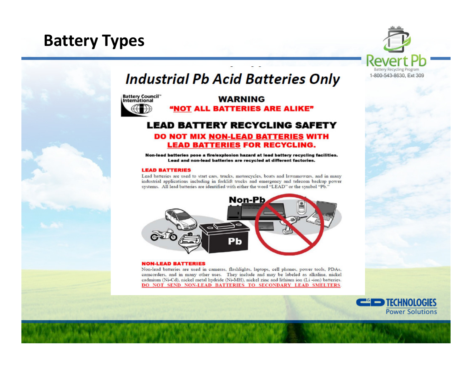## **Battery Types**



### **Industrial Pb Acid Batteries Only**

**Battery Council"**<br>International

#### **WARNING** "NOT ALL BATTERIES ARE ALIKE"

### **LEAD BATTERY RECYCLING SAFETY**

#### DO NOT MIX NON-LEAD BATTERIES WITH **LEAD BATTERIES FOR RECYCLING.**

Non-lead batteries pose a fire/explosion hazard at lead battery recycling facilities. Lead and non-lead batteries are recycled at different factories.

#### **LEAD BATTERIES**

Lead batteries are used to start cars, trucks, motorcycles, boats and lawnmowers, and in many industrial applications including in forklift trucks and emergency and telecom backup power systems. All lead batteries are identified with either the word "LEAD" or the symbol "Pb."



#### **NON-LEAD BATTERIES**

Non-lead batteries are used in cameras, flashlights, laptops, cell phones, power tools, PDAs, camcorders, and in many other uses. They include and may be labeled as alkaline, nickel cadmium (Ni-Cd), nickel metal hydride (Ni-MH), nickel zinc and lithium ion (Li-ion) batteries. DO NOT SEND NON-LEAD BATTERIES TO SECONDARY LEAD SMELTERS.

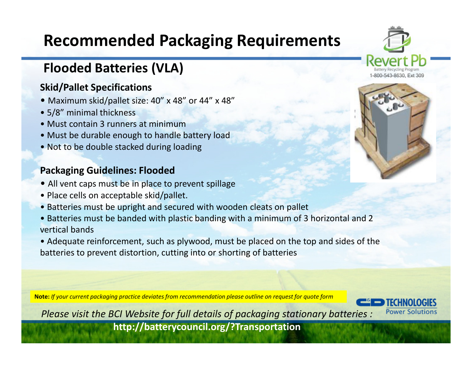# **Recommended Packaging Requirements**

## **Flooded Batteries (VLA)**

#### **Skid/Pallet Specifications**

- Maximum skid/pallet size: 40" x 48" or 44" x 48"
- 5/8" minimal thickness
- Must contain 3 runners at minimum
- Must be durable enough to handle battery load
- Not to be double stacked during loading

#### **Packaging Guidelines: Flooded**

- All vent caps must be in place to prevent spillage
- Place cells on acceptable skid/pallet.
- Batteries must be upright and secured with wooden cleats on pallet
- Batteries must be banded with plastic banding with a minimum of 3 horizontal and 2 vertical bands
- Adequate reinforcement, such as plywood, must be placed on the top and sides of the batteries to prevent distortion, cutting into or shorting of batteries

**Note:** *If your current packaging practice deviates from recommendation please outline on request for quote form*



*Please visit the BCI Website for full details of packaging stationary batteries :* **http://batterycouncil.org/?Transportation** 

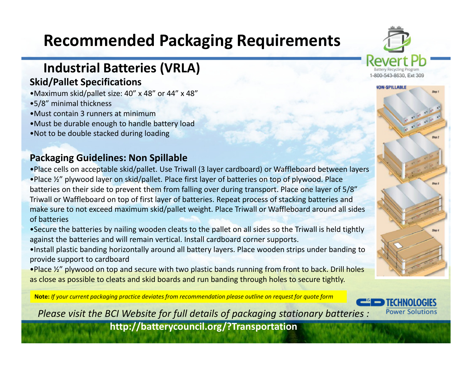# **Recommended Packaging Requirements**

### **Industrial Batteries (VRLA)**

### **Skid/Pallet Specifications**

- •Maximum skid/pallet size: 40" x 48" or 44" x 48"
- •5/8" minimal thickness
- •Must contain 3 runners at minimum
- •Must be durable enough to handle battery load
- •Not to be double stacked during loading

### **Packaging Guidelines: Non Spillable**

- •Place cells on acceptable skid/pallet. Use Triwall (3 layer cardboard) or Waffleboard between layers •Place ½" plywood layer on skid/pallet. Place first layer of batteries on top of plywood. Place
- batteries on their side to prevent them from falling over during transport. Place one layer of 5/8" Triwall or Waffleboard on top of first layer of batteries. Repeat process of stacking batteries and make sure to not exceed maximum skid/pallet weight. Place Triwall or Waffleboard around all sides of batteries
- •Secure the batteries by nailing wooden cleats to the pallet on all sides so the Triwall is held tightly against the batteries and will remain vertical. Install cardboard corner supports.
- •Install plastic banding horizontally around all battery layers. Place wooden strips under banding to provide support to cardboard
- •Place  $\frac{1}{2}$ " plywood on top and secure with two plastic bands running from front to back. Drill holes as close as possible to cleats and skid boards and run banding through holes to secure tightly.

**Note:** *If your current packaging practice deviates from recommendation please outline on request for quote form*



*Please visit the BCI Website for full details of packaging stationary batteries :* 

**http://batterycouncil.org/?Transportation** 

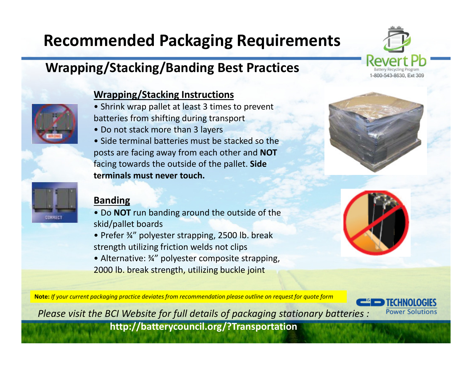# **Recommended Packaging Requirements**

### **Wrapping/Stacking/Banding Best Practices**

#### **Wrapping/Stacking Instructions**

- Shrink wrap pallet at least 3 times to prevent batteries from shifting during transport
- Do not stack more than 3 layers
- Side terminal batteries must be stacked so the posts are facing away from each other and **NOT** facing towards the outside of the pallet. **Side terminals must never touch.**

#### **Banding**

- Do **NOT** run banding around the outside of the skid/pallet boards
- Prefer ¾" polyester strapping, 2500 lb. break strength utilizing friction welds not clips
- Alternative: 34" polyester composite strapping, 2000 lb. break strength, utilizing buckle joint



**Note:** *If your current packaging practice deviates from recommendation please outline on request for quote form*

*Please visit the BCI Website for full details of packaging stationary batteries :* **http://batterycouncil.org/?Transportation**